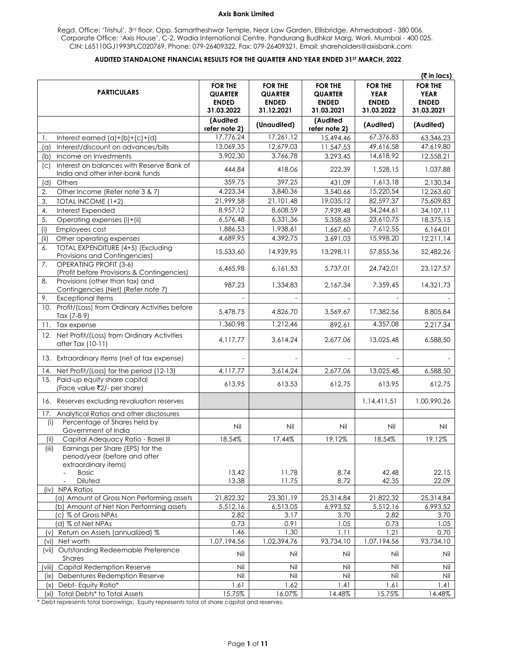Regd. Office: 'Trishul', 3<sup>rd</sup> floor, Opp. Samartheshwar Temple, Near Law Garden, Ellisbridge, Ahmedabad - 380 006. Corporate Office: 'Axis House', C-2, Wadia International Centre, Pandurang Budhkar Marg, Worli, Mumbai - 400 025. CIN: L65110GJ1993PLC020769, Phone: 079-26409322, Fax: 079-26409321, Email: shareholders@axisbank.com

## **AUDITED STANDALONE FINANCIAL RESULTS FOR THE QUARTER AND YEAR ENDED 31ST MARCH, 2022**

|                                                                                                                                                  |                                                  |                                                  |                                           |                                               | (₹ in lacs)                                   |
|--------------------------------------------------------------------------------------------------------------------------------------------------|--------------------------------------------------|--------------------------------------------------|-------------------------------------------|-----------------------------------------------|-----------------------------------------------|
| <b>PARTICULARS</b>                                                                                                                               | <b>FOR THE</b><br><b>QUARTER</b><br><b>ENDED</b> | <b>FOR THE</b><br><b>QUARTER</b><br><b>ENDED</b> | <b>FOR THE</b><br>QUARTER<br><b>ENDED</b> | <b>FOR THE</b><br><b>YEAR</b><br><b>ENDED</b> | <b>FOR THE</b><br><b>YEAR</b><br><b>ENDED</b> |
|                                                                                                                                                  | 31.03.2022<br>(Audited<br>refer note 2)          | 31.12.2021<br>(Unaudited)                        | 31.03.2021<br>(Audited<br>refer note 2)   | 31.03.2022<br>(Audited)                       | 31.03.2021<br>(Audited)                       |
| Interest earned $(a)+(b)+(c)+(d)$<br>1.                                                                                                          | 17,776,24                                        | 17,261,12                                        | 15,494,46                                 | 67,376,83                                     | 63,346,23                                     |
| Interest/discount on advances/bills<br>(a)                                                                                                       | 13,069,35                                        | 12,679,03                                        | 11,547,53                                 | 49,616,58                                     | 47,619,80                                     |
| Income on Investments<br>(b)                                                                                                                     | 3,902,30                                         | 3,766,78                                         | 3,293,45                                  | 14,618,92                                     | 12,558,21                                     |
| Interest on balances with Reserve Bank of<br>(c)<br>India and other inter-bank funds                                                             | 444,84                                           | 418,06                                           | 222,39                                    | 1,528,15                                      | 1,037,88                                      |
| (d)<br>Others                                                                                                                                    | 359,75                                           | 397,25                                           | 431,09                                    | 1,613,18                                      | 2,130,34                                      |
| 2.<br>Other Income (Refer note 3 & 7)                                                                                                            | 4,223,34                                         | 3,840,36                                         | 3,540,66                                  | 15,220,54                                     | 12,263,60                                     |
| 3.<br>TOTAL INCOME (1+2)                                                                                                                         | 21,999,58                                        | 21,101,48                                        | 19,035,12                                 | 82,597,37                                     | 75,609,83                                     |
| 4.<br>Interest Expended                                                                                                                          | 8,957,12                                         | 8,608,59                                         | 7,939,48                                  | 34,244,61                                     | 34,107,11                                     |
| 5.<br>Operating expenses (i)+(ii)                                                                                                                | 6,576,48                                         | 6,331,36                                         | 5,358,63                                  | 23,610,75                                     | 18,375,15                                     |
| (i)<br>Employees cost                                                                                                                            | 1,886,53                                         | 1,938,61                                         | 1,667,60                                  | 7,612,55                                      | 6,164,01                                      |
| Other operating expenses<br>(ii)                                                                                                                 | 4,689,95                                         | 4,392,75                                         | 3,691,03                                  | 15,998,20                                     | 12,211,14                                     |
| TOTAL EXPENDITURE (4+5) (Excluding<br>6.<br>Provisions and Contingencies)                                                                        | 15,533,60                                        | 14,939,95                                        | 13,298,11                                 | 57,855,36                                     | 52,482,26                                     |
| 7.<br><b>OPERATING PROFIT (3-6)</b><br>(Profit before Provisions & Contingencies)                                                                | 6,465,98                                         | 6, 161, 53                                       | 5,737,01                                  | 24,742,01                                     | 23,127,57                                     |
| Provisions (other than tax) and<br>8.<br>Contingencies (Net) (Refer note 7)                                                                      | 987.23                                           | 1,334,83                                         | 2.167.34                                  | 7,359,45                                      | 14,321,73                                     |
| <b>Exceptional Items</b><br>9.                                                                                                                   |                                                  |                                                  |                                           |                                               |                                               |
| 10. Profit/(Loss) from Ordinary Activities before<br>Tax (7-8-9)                                                                                 | 5,478,75                                         | 4,826,70                                         | 3,569,67                                  | 17,382,56                                     | 8,805,84                                      |
| Tax expense<br>11.                                                                                                                               | 1,360,98                                         | 1,212,46                                         | 892,61                                    | 4,357,08                                      | 2,217,34                                      |
| 12. Net Profit/(Loss) from Ordinary Activities<br>after Tax (10-11)                                                                              | 4,117,77                                         | 3,614,24                                         | 2,677,06                                  | 13,025,48                                     | 6,588,50                                      |
| 13. Extraordinary Items (net of tax expense)                                                                                                     |                                                  |                                                  |                                           |                                               |                                               |
| 14. Net Profit/(Loss) for the period (12-13)                                                                                                     | 4,117,77                                         | 3,614,24                                         | 2,677,06                                  | 13,025,48                                     | 6,588,50                                      |
| 15. Paid-up equity share capital<br>(Face value ₹2/- per share)                                                                                  | 613,95                                           | 613,53                                           | 612,75                                    | 613,95                                        | 612,75                                        |
| 16. Reserves excluding revaluation reserves                                                                                                      |                                                  |                                                  |                                           | 1,14,411,51                                   | 1,00,990,26                                   |
| Analytical Ratios and other disclosures<br>17.                                                                                                   |                                                  |                                                  |                                           |                                               |                                               |
| Percentage of Shares held by<br>(i)                                                                                                              | Nil                                              | Nil                                              | Nil                                       | Nil                                           | Nil                                           |
| Government of India                                                                                                                              | 18.54%                                           | 17.44%                                           |                                           | 18.54%                                        | 19.12%                                        |
| (ii)<br>Capital Adequacy Ratio - Basel III<br>Earnings per Share (EPS) for the<br>(iii)<br>period/year (before and after<br>extraordinary items) |                                                  |                                                  | 19.12%                                    |                                               |                                               |
| <b>Basic</b><br>Diluted                                                                                                                          | 13.42<br>13.38                                   | 11.78<br>11.75                                   | 8.74<br>8.72                              | 42.48<br>42.35                                | 22.15<br>22.09                                |
| (iv) NPA Ratios                                                                                                                                  |                                                  |                                                  |                                           |                                               |                                               |
| (a) Amount of Gross Non Performing assets                                                                                                        | 21,822,32                                        | 23,301,19                                        | 25,314,84                                 | 21,822,32                                     | 25,314,84                                     |
| (b) Amount of Net Non Performing assets                                                                                                          | 5,512,16                                         | 6,513,05                                         | 6,993,52                                  | 5,512,16                                      | 6,993,52                                      |
| (c) % of Gross NPAs                                                                                                                              | 2.82                                             | 3.17                                             | 3.70                                      | 2.82                                          | 3.70                                          |
| (d) % of Net NPAs                                                                                                                                | 0.73                                             | 0.91                                             | 1.05                                      | 0.73                                          | 1.05                                          |
| (v) Return on Assets (annualized) %                                                                                                              | 1.46                                             | 1.30                                             | 1.11                                      | 1.21                                          | 0.70                                          |
| (vi) Net worth                                                                                                                                   | 1,07,194,56                                      | 1,02,394,76                                      | 93,734,10                                 | 1,07,194,56                                   | 93,734,10                                     |
| (vii) Outstanding Redeemable Preference<br>Shares                                                                                                | Nil                                              | Nil                                              | Nil                                       | Nil                                           | Nil                                           |
| Capital Redemption Reserve<br>(∨iii)                                                                                                             | Nil                                              | Nil                                              | Nil                                       | Nil                                           | Nil                                           |
| Debentures Redemption Reserve<br>$(i \times)$                                                                                                    | Nil                                              | Nil                                              | Nil                                       | Nil                                           | Nil                                           |
| Debt-Equity Ratio*<br>(x)                                                                                                                        | 1.61                                             | 1.62                                             | 1.41                                      | 1.61                                          | 1.41                                          |
| Total Debts* to Total Assets<br>(xi)                                                                                                             | 15.75%                                           | 16.07%                                           | 14.48%                                    | 15.75%                                        | 14.48%                                        |

\* Debt represents total borrowings; Equity represents total of share capital and reserves.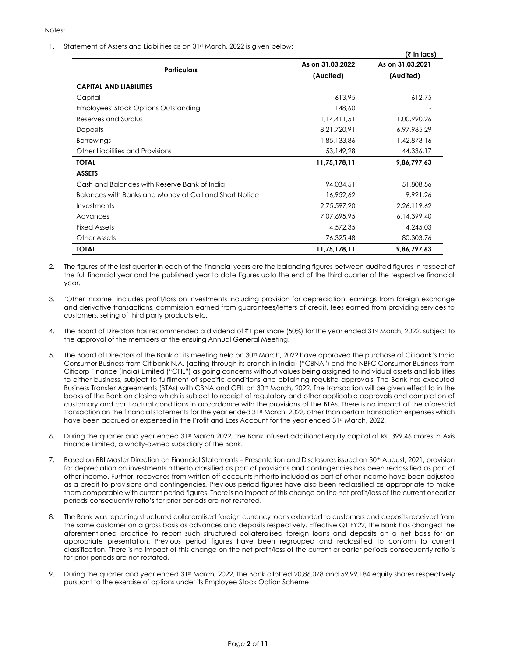1. Statement of Assets and Liabilities as on 31st March, 2022 is given below:

|                                                        |                  | (₹ in lacs)      |
|--------------------------------------------------------|------------------|------------------|
| <b>Particulars</b>                                     | As on 31.03.2022 | As on 31.03.2021 |
|                                                        | (Audited)        | (Audited)        |
| <b>CAPITAL AND LIABILITIES</b>                         |                  |                  |
| Capital                                                | 613,95           | 612,75           |
| Employees' Stock Options Outstanding                   | 148,60           |                  |
| Reserves and Surplus                                   | 1,14,411,51      | 1,00,990,26      |
| <b>Deposits</b>                                        | 8,21,720,91      | 6,97,985,29      |
| <b>Borrowings</b>                                      | 1,85,133,86      | 1,42,873,16      |
| Other Liabilities and Provisions                       | 53,149,28        | 44,336,17        |
| <b>TOTAL</b>                                           | 11,75,178,11     | 9,86,797,63      |
| <b>ASSETS</b>                                          |                  |                  |
| Cash and Balances with Reserve Bank of India           | 94,034,51        | 51,808,56        |
| Balances with Banks and Money at Call and Short Notice | 16,952,62        | 9,921,26         |
| Investments                                            | 2,75,597,20      | 2,26,119,62      |
| Advances                                               | 7,07,695,95      | 6, 14, 399, 40   |
| <b>Fixed Assets</b>                                    | 4,572,35         | 4,245,03         |
| <b>Other Assets</b>                                    | 76,325,48        | 80,303,76        |
| <b>TOTAL</b>                                           | 11,75,178,11     | 9,86,797,63      |

- 2. The figures of the last quarter in each of the financial years are the balancing figures between audited figures in respect of the full financial year and the published year to date figures upto the end of the third quarter of the respective financial year.
- 3. 'Other income' includes profit/loss on investments including provision for depreciation, earnings from foreign exchange and derivative transactions, commission earned from guarantees/letters of credit, fees earned from providing services to customers, selling of third party products etc.
- 4. The Board of Directors has recommended a dividend of  $\bar{\tau}$ 1 per share (50%) for the year ended 31st March, 2022, subject to the approval of the members at the ensuing Annual General Meeting.
- 5. The Board of Directors of the Bank at its meeting held on 30<sup>th</sup> March, 2022 have approved the purchase of Citibank's India Consumer Business from Citibank N.A. (acting through its branch in India) ("CBNA") and the NBFC Consumer Business from Citicorp Finance (India) Limited ("CFIL") as going concerns without values being assigned to individual assets and liabilities to either business, subject to fulfilment of specific conditions and obtaining requisite approvals. The Bank has executed Business Transfer Agreements (BTAs) with CBNA and CFIL on 30<sup>th</sup> March, 2022. The transaction will be given effect to in the books of the Bank on closing which is subject to receipt of regulatory and other applicable approvals and completion of customary and contractual conditions in accordance with the provisions of the BTAs. There is no impact of the aforesaid transaction on the financial statements for the year ended 31st March, 2022, other than certain transaction expenses which have been accrued or expensed in the Profit and Loss Account for the year ended 31st March, 2022.
- 6. During the quarter and year ended 31st March 2022, the Bank infused additional equity capital of Rs. 399.46 crores in Axis Finance Limited, a wholly-owned subsidiary of the Bank.
- 7. Based on RBI Master Direction on Financial Statements Presentation and Disclosures issued on 30<sup>th</sup> August, 2021, provision for depreciation on investments hitherto classified as part of provisions and contingencies has been reclassified as part of other income. Further, recoveries from written off accounts hitherto included as part of other income have been adjusted as a credit to provisions and contingencies. Previous period figures have also been reclassified as appropriate to make them comparable with current period figures. There is no impact of this change on the net profit/loss of the current or earlier periods consequently ratio's for prior periods are not restated.
- 8. The Bank was reporting structured collateralised foreign currency loans extended to customers and deposits received from the same customer on a gross basis as advances and deposits respectively. Effective Q1 FY22, the Bank has changed the aforementioned practice to report such structured collateralised foreign loans and deposits on a net basis for an appropriate presentation. Previous period figures have been regrouped and reclassified to conform to current classification. There is no impact of this change on the net profit/loss of the current or earlier periods consequently ratio's for prior periods are not restated.
- 9. During the quarter and year ended 31st March, 2022, the Bank allotted 20,86,078 and 59,99,184 equity shares respectively pursuant to the exercise of options under its Employee Stock Option Scheme.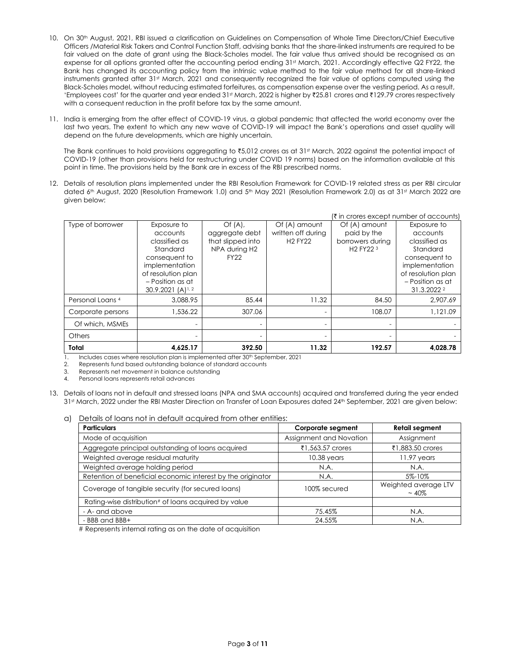- 10. On 30th August, 2021, RBI issued a clarification on Guidelines on Compensation of Whole Time Directors/Chief Executive Officers /Material Risk Takers and Control Function Staff, advising banks that the share-linked instruments are required to be fair valued on the date of grant using the Black-Scholes model. The fair value thus arrived should be recognised as an expense for all options granted after the accounting period ending 31st March, 2021. Accordingly effective Q2 FY22, the Bank has changed its accounting policy from the intrinsic value method to the fair value method for all share-linked instruments granted after 31st March, 2021 and consequently recognized the fair value of options computed using the Black-Scholes model, without reducing estimated forfeitures, as compensation expense over the vesting period. As a result, 'Employees cost' for the quarter and year ended 31<sup>st</sup> March, 2022 is higher by ₹25.81 crores and ₹129.79 crores respectively with a consequent reduction in the profit before tax by the same amount.
- 11. India is emerging from the after effect of COVID-19 virus, a global pandemic that affected the world economy over the last two years. The extent to which any new wave of COVID‐19 will impact the Bank's operations and asset quality will depend on the future developments, which are highly uncertain.

The Bank continues to hold provisions aggregating to ₹5,012 crores as at 31st March, 2022 against the potential impact of COVID‐19 (other than provisions held for restructuring under COVID 19 norms) based on the information available at this point in time. The provisions held by the Bank are in excess of the RBI prescribed norms.

12. Details of resolution plans implemented under the RBI Resolution Framework for COVID-19 related stress as per RBI circular dated 6th August, 2020 (Resolution Framework 1.0) and 5th May 2021 (Resolution Framework 2.0) as at 31st March 2022 are given below:

|                             |                       |                   |                          | (₹ in crores except number of accounts) |                    |
|-----------------------------|-----------------------|-------------------|--------------------------|-----------------------------------------|--------------------|
| Type of borrower            | Exposure to           | Of(A),            | Of (A) amount            | Of (A) amount                           | Exposure to        |
|                             | accounts              | aggregate debt    | written off during       | paid by the                             | accounts           |
|                             | classified as         | that slipped into | <b>H2 FY22</b>           | borrowers during                        | classified as      |
|                             | Standard              | NPA during H2     |                          | H <sub>2</sub> FY <sub>22</sub> 3       | Standard           |
|                             | consequent to         | <b>FY22</b>       |                          |                                         | consequent to      |
|                             | implementation        |                   |                          |                                         | implementation     |
|                             | of resolution plan    |                   |                          |                                         | of resolution plan |
|                             | - Position as at      |                   |                          |                                         | - Position as at   |
|                             | $30.9.2021 (A)^{1.2}$ |                   |                          |                                         | 31.3.2022 2        |
| Personal Loans <sup>4</sup> | 3,088.95              | 85.44             | 11.32                    | 84.50                                   | 2.907.69           |
| Corporate persons           | 1,536.22              | 307.06            | $\overline{\phantom{0}}$ | 108.07                                  | 1,121.09           |
| Of which, MSMEs             |                       |                   |                          |                                         |                    |
| Others                      |                       |                   |                          |                                         |                    |
| Total                       | 4,625.17              | 392.50            | 11.32                    | 192.57                                  | 4,028.78           |

1. Includes cases where resolution plan is implemented after 30<sup>th</sup> September, 2021

2. Represents fund based outstanding balance of standard accounts

3. Represents net movement in balance outstanding

4. Personal loans represents retail advances

13. Details of loans not in default and stressed loans (NPA and SMA accounts) acquired and transferred during the year ended 31st March, 2022 under the RBI Master Direction on Transfer of Loan Exposures dated 24th September, 2021 are given below:

a) Details of loans not in default acquired from other entities:

| <b>Particulars</b>                                          | <b>Corporate segment</b> | <b>Retail segment</b>           |
|-------------------------------------------------------------|--------------------------|---------------------------------|
| Mode of acquisition                                         | Assignment and Novation  | Assignment                      |
| Aggregate principal outstanding of loans acquired           | ₹1,563.57 crores         | ₹1,883.50 crores                |
| Weighted average residual maturity                          | $10.38$ years            | $11.97$ years                   |
| Weighted average holding period                             | N.A.                     | N.A.                            |
| Retention of beneficial economic interest by the originator | N.A.                     | 5%-10%                          |
| Coverage of tangible security (for secured loans)           | 100% secured             | Weighted average LTV<br>$~10\%$ |
| Rating-wise distribution# of loans acquired by value        |                          |                                 |
| - A- and above                                              | 75.45%                   | N.A.                            |
| - BBB and BBB+                                              | 24.55%                   | N.A.                            |

# Represents internal rating as on the date of acquisition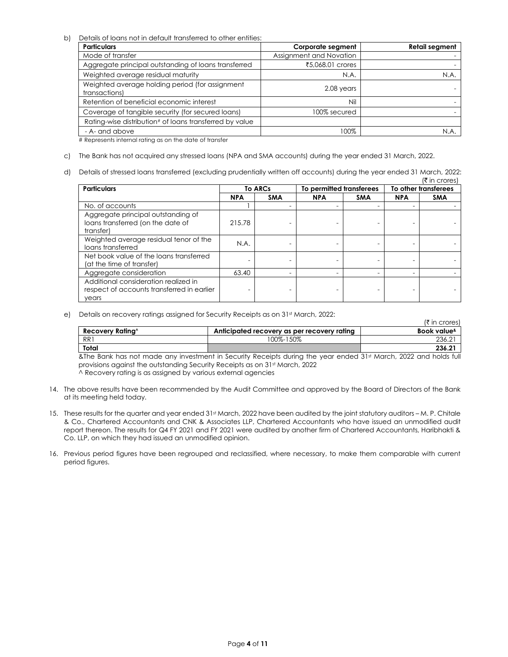b) Details of loans not in default transferred to other entities:

| <b>Particulars</b>                                               | <b>Corporate segment</b> | <b>Retail segment</b> |
|------------------------------------------------------------------|--------------------------|-----------------------|
| Mode of transfer                                                 | Assignment and Novation  |                       |
| Aggregate principal outstanding of loans transferred             | ₹5,068.01 crores         |                       |
| Weighted average residual maturity                               | N.A.                     | N.A.                  |
| Weighted average holding period (for assignment<br>transactions) | 2.08 years               |                       |
| Retention of beneficial economic interest                        | Nil                      |                       |
| Coverage of tangible security (for secured loans)                | 100% secured             |                       |
| Rating-wise distribution# of loans transferred by value          |                          |                       |
| - A- and above                                                   | 100%                     | N.A.                  |

# Represents internal rating as on the date of transfer

- c) The Bank has not acquired any stressed loans (NPA and SMA accounts) during the year ended 31 March, 2022.
- d) Details of stressed loans transferred (excluding prudentially written off accounts) during the year ended 31 March, 2022:  $\bar{z}$  in crores

| <b>Particulars</b>                                                                          |            | <b>To ARCs</b> | To permitted transferees |            | To other transferees |            |
|---------------------------------------------------------------------------------------------|------------|----------------|--------------------------|------------|----------------------|------------|
|                                                                                             | <b>NPA</b> | <b>SMA</b>     | <b>NPA</b>               | <b>SMA</b> | <b>NPA</b>           | <b>SMA</b> |
| No. of accounts                                                                             |            |                |                          |            |                      |            |
| Aggregate principal outstanding of<br>loans transferred (on the date of<br>transfer)        | 215.78     |                |                          |            |                      |            |
| Weighted average residual tenor of the<br>loans transferred                                 | N.A.       |                |                          |            |                      |            |
| Net book value of the loans transferred<br>(at the time of transfer)                        |            |                |                          |            |                      |            |
| Aggregate consideration                                                                     | 63.40      |                |                          |            |                      |            |
| Additional consideration realized in<br>respect of accounts transferred in earlier<br>years |            |                |                          |            |                      |            |

e) Details on recovery ratings assigned for Security Receipts as on 31st March, 2022:

| Recovery Rating^ | Anticipated recovery as per recovery rating | Book value <sup>&amp;</sup> |
|------------------|---------------------------------------------|-----------------------------|
| RR1              | 100%-150%                                   | 236.∠                       |
| Total            |                                             | 236.21                      |
| _ _ _            | $\cdots$<br>$\sim$                          | -----<br>.<br>.             |

&The Bank has not made any investment in Security Receipts during the year ended 31st March, 2022 and holds full provisions against the outstanding Security Receipts as on 31st March, 2022

^ Recovery rating is as assigned by various external agencies

- 14. The above results have been recommended by the Audit Committee and approved by the Board of Directors of the Bank at its meeting held today.
- 15. These results for the quarter and year ended 31st March, 2022 have been audited by the joint statutory auditors M. P. Chitale & Co., Chartered Accountants and CNK & Associates LLP, Chartered Accountants who have issued an unmodified audit report thereon. The results for Q4 FY 2021 and FY 2021 were audited by another firm of Chartered Accountants, Haribhakti & Co. LLP, on which they had issued an unmodified opinion.
- 16. Previous period figures have been regrouped and reclassified, where necessary, to make them comparable with current period figures.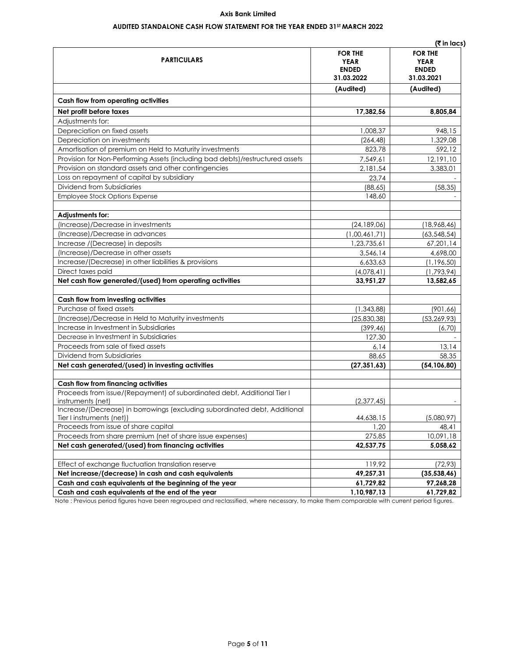### **AUDITED STANDALONE CASH FLOW STATEMENT FOR THE YEAR ENDED 31ST MARCH 2022**

|                                                                                              |                                                             | (रैं in lacs)                                               |
|----------------------------------------------------------------------------------------------|-------------------------------------------------------------|-------------------------------------------------------------|
| <b>PARTICULARS</b>                                                                           | <b>FOR THE</b><br><b>YEAR</b><br><b>ENDED</b><br>31.03.2022 | <b>FOR THE</b><br><b>YEAR</b><br><b>ENDED</b><br>31.03.2021 |
|                                                                                              | (Audited)                                                   | (Audited)                                                   |
| Cash flow from operating activities                                                          |                                                             |                                                             |
| Net profit before taxes                                                                      | 17,382,56                                                   | 8,805,84                                                    |
| Adjustments for:                                                                             |                                                             |                                                             |
| Depreciation on fixed assets                                                                 | 1,008,37                                                    | 948,15                                                      |
| Depreciation on investments                                                                  | (264, 48)                                                   | 1,329,08                                                    |
| Amortisation of premium on Held to Maturity investments                                      | 823.78                                                      | 592.12                                                      |
| Provision for Non-Performing Assets (including bad debts)/restructured assets                | 7,549,61                                                    | 12,191,10                                                   |
| Provision on standard assets and other contingencies                                         | 2,181,54                                                    | 3,383,01                                                    |
| Loss on repayment of capital by subsidiary                                                   | 23,74                                                       |                                                             |
| Dividend from Subsidiaries                                                                   | (88, 65)                                                    | (58, 35)                                                    |
| Employee Stock Options Expense                                                               | 148,60                                                      |                                                             |
| Adjustments for:                                                                             |                                                             |                                                             |
| (Increase)/Decrease in investments                                                           | (24, 189, 06)                                               | (18,968,46)                                                 |
| (Increase)/Decrease in advances                                                              | (1,00,461,71)                                               | (63, 548, 54)                                               |
| Increase /(Decrease) in deposits                                                             | 1,23,735,61                                                 | 67,201,14                                                   |
| (Increase)/Decrease in other assets                                                          | 3,546,14                                                    | 4,698,00                                                    |
| Increase/(Decrease) in other liabilities & provisions                                        | 6,633,63                                                    | (1, 196, 50)                                                |
| Direct taxes paid                                                                            | (4,078,41)                                                  | (1,793,94)                                                  |
| Net cash flow generated/(used) from operating activities                                     | 33,951,27                                                   | 13,582,65                                                   |
| Cash flow from investing activities                                                          |                                                             |                                                             |
| Purchase of fixed assets                                                                     | (1, 343, 88)                                                | (901, 66)                                                   |
| (Increase)/Decrease in Held to Maturity investments                                          | (25, 830, 38)                                               | (53, 269, 93)                                               |
| Increase in Investment in Subsidiaries                                                       | (399, 46)                                                   | (6, 70)                                                     |
| Decrease in Investment in Subsidiaries                                                       | 127,30                                                      |                                                             |
| Proceeds from sale of fixed assets                                                           | 6,14                                                        | 13,14                                                       |
| Dividend from Subsidiaries                                                                   | 88,65                                                       | 58,35                                                       |
| Net cash generated/(used) in investing activities                                            | (27, 351, 63)                                               | (54, 106, 80)                                               |
| Cash flow from financing activities                                                          |                                                             |                                                             |
| Proceeds from issue/(Repayment) of subordinated debt, Additional Tier I<br>instruments (net) | (2,377,45)                                                  |                                                             |
| Increase/(Decrease) in borrowings (excluding subordinated debt, Additional                   |                                                             |                                                             |
| Tier I instruments (net))                                                                    | 44,638,15                                                   | (5,080,97)                                                  |
| Proceeds from issue of share capital                                                         | 1,20                                                        | 48,41                                                       |
| Proceeds from share premium (net of share issue expenses)                                    | 275,85                                                      | 10,091,18                                                   |
| Net cash generated/(used) from financing activities                                          | 42,537,75                                                   | 5,058,62                                                    |
| Effect of exchange fluctuation translation reserve                                           | 119,92                                                      | (72, 93)                                                    |
| Net increase/(decrease) in cash and cash equivalents                                         | 49,257,31                                                   | (35, 538, 46)                                               |
| Cash and cash equivalents at the beginning of the year                                       | 61,729,82                                                   | 97,268,28                                                   |
| Cash and cash equivalents at the end of the year                                             | 1,10,987,13                                                 | 61,729,82                                                   |

Note : Previous period figures have been regrouped and reclassified, where necessary, to make them comparable with current period figures.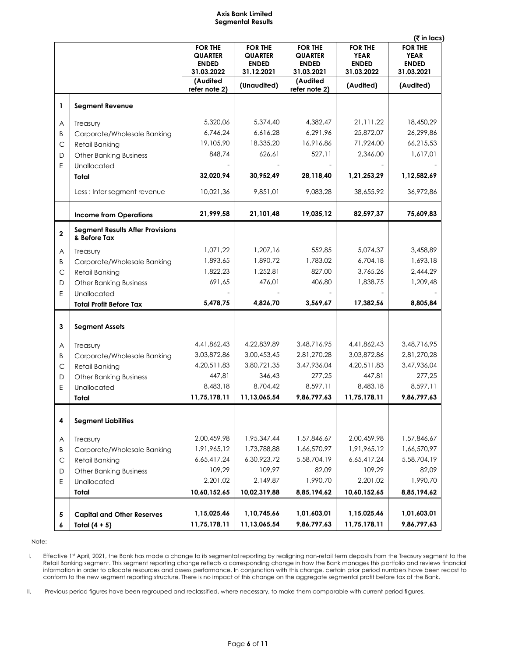#### **Axis Bank Limited Segmental Results**

|                                                         | <b>FOR THE</b><br><b>QUARTER</b><br><b>ENDED</b><br>31.03.2022                                                                                                                                                                                                                                                                                                                                                                                                                                                                | <b>FOR THE</b><br><b>QUARTER</b><br><b>ENDED</b><br>31.12.2021                                                                                                                          | <b>FOR THE</b><br><b>QUARTER</b><br><b>ENDED</b><br>31.03.2021                                                                                                                      | <b>FOR THE</b><br><b>YEAR</b><br><b>ENDED</b><br>31.03.2022                                                                                                                 | <b>FOR THE</b><br><b>YEAR</b><br><b>ENDED</b><br>31.03.2021                                                                                     |
|---------------------------------------------------------|-------------------------------------------------------------------------------------------------------------------------------------------------------------------------------------------------------------------------------------------------------------------------------------------------------------------------------------------------------------------------------------------------------------------------------------------------------------------------------------------------------------------------------|-----------------------------------------------------------------------------------------------------------------------------------------------------------------------------------------|-------------------------------------------------------------------------------------------------------------------------------------------------------------------------------------|-----------------------------------------------------------------------------------------------------------------------------------------------------------------------------|-------------------------------------------------------------------------------------------------------------------------------------------------|
|                                                         | (Audited<br>refer note 2)                                                                                                                                                                                                                                                                                                                                                                                                                                                                                                     | (Unaudited)                                                                                                                                                                             | (Audited<br>refer note 2)                                                                                                                                                           | (Audited)                                                                                                                                                                   | (Audited)                                                                                                                                       |
| <b>Segment Revenue</b>                                  |                                                                                                                                                                                                                                                                                                                                                                                                                                                                                                                               |                                                                                                                                                                                         |                                                                                                                                                                                     |                                                                                                                                                                             |                                                                                                                                                 |
|                                                         | 5,320,06                                                                                                                                                                                                                                                                                                                                                                                                                                                                                                                      | 5,374,40                                                                                                                                                                                | 4,382,47                                                                                                                                                                            | 21,111,22                                                                                                                                                                   | 18,450,29                                                                                                                                       |
|                                                         | 6,746,24                                                                                                                                                                                                                                                                                                                                                                                                                                                                                                                      | 6,616,28                                                                                                                                                                                | 6,291,96                                                                                                                                                                            | 25,872,07                                                                                                                                                                   | 26,299,86                                                                                                                                       |
|                                                         | 19,105,90                                                                                                                                                                                                                                                                                                                                                                                                                                                                                                                     | 18,335,20                                                                                                                                                                               | 16,916,86                                                                                                                                                                           | 71,924,00                                                                                                                                                                   | 66,215,53                                                                                                                                       |
|                                                         | 848,74                                                                                                                                                                                                                                                                                                                                                                                                                                                                                                                        | 626,61                                                                                                                                                                                  | 527,11                                                                                                                                                                              | 2,346,00                                                                                                                                                                    | 1,617,01                                                                                                                                        |
|                                                         |                                                                                                                                                                                                                                                                                                                                                                                                                                                                                                                               |                                                                                                                                                                                         |                                                                                                                                                                                     |                                                                                                                                                                             |                                                                                                                                                 |
| Total                                                   | 32,020,94                                                                                                                                                                                                                                                                                                                                                                                                                                                                                                                     | 30,952,49                                                                                                                                                                               | 28,118,40                                                                                                                                                                           | 1,21,253,29                                                                                                                                                                 | 1,12,582,69                                                                                                                                     |
| Less : Inter segment revenue                            | 10,021,36                                                                                                                                                                                                                                                                                                                                                                                                                                                                                                                     | 9,851,01                                                                                                                                                                                | 9,083,28                                                                                                                                                                            | 38,655,92                                                                                                                                                                   | 36,972,86                                                                                                                                       |
| <b>Income from Operations</b>                           | 21,999,58                                                                                                                                                                                                                                                                                                                                                                                                                                                                                                                     | 21,101,48                                                                                                                                                                               | 19,035,12                                                                                                                                                                           | 82,597,37                                                                                                                                                                   | 75,609,83                                                                                                                                       |
| <b>Segment Results After Provisions</b><br>& Before Tax |                                                                                                                                                                                                                                                                                                                                                                                                                                                                                                                               |                                                                                                                                                                                         |                                                                                                                                                                                     |                                                                                                                                                                             |                                                                                                                                                 |
|                                                         | 1,071,22                                                                                                                                                                                                                                                                                                                                                                                                                                                                                                                      | 1,207,16                                                                                                                                                                                | 552,85                                                                                                                                                                              | 5,074,37                                                                                                                                                                    | 3,458,89                                                                                                                                        |
|                                                         | 1,893,65                                                                                                                                                                                                                                                                                                                                                                                                                                                                                                                      |                                                                                                                                                                                         |                                                                                                                                                                                     |                                                                                                                                                                             | 1,693,18                                                                                                                                        |
|                                                         |                                                                                                                                                                                                                                                                                                                                                                                                                                                                                                                               | 1,252,81                                                                                                                                                                                |                                                                                                                                                                                     | 3,765,26                                                                                                                                                                    | 2,444,29                                                                                                                                        |
|                                                         |                                                                                                                                                                                                                                                                                                                                                                                                                                                                                                                               | 476,01                                                                                                                                                                                  | 406,80                                                                                                                                                                              | 1,838,75                                                                                                                                                                    | 1,209,48                                                                                                                                        |
|                                                         |                                                                                                                                                                                                                                                                                                                                                                                                                                                                                                                               |                                                                                                                                                                                         |                                                                                                                                                                                     |                                                                                                                                                                             |                                                                                                                                                 |
| <b>Total Profit Before Tax</b>                          | 5,478,75                                                                                                                                                                                                                                                                                                                                                                                                                                                                                                                      | 4,826,70                                                                                                                                                                                | 3,569,67                                                                                                                                                                            | 17,382,56                                                                                                                                                                   | 8,805,84                                                                                                                                        |
|                                                         |                                                                                                                                                                                                                                                                                                                                                                                                                                                                                                                               |                                                                                                                                                                                         |                                                                                                                                                                                     |                                                                                                                                                                             |                                                                                                                                                 |
| <b>Segment Assets</b>                                   |                                                                                                                                                                                                                                                                                                                                                                                                                                                                                                                               |                                                                                                                                                                                         |                                                                                                                                                                                     |                                                                                                                                                                             |                                                                                                                                                 |
|                                                         |                                                                                                                                                                                                                                                                                                                                                                                                                                                                                                                               |                                                                                                                                                                                         |                                                                                                                                                                                     | 4,41,862,43                                                                                                                                                                 | 3,48,716,95                                                                                                                                     |
|                                                         |                                                                                                                                                                                                                                                                                                                                                                                                                                                                                                                               |                                                                                                                                                                                         |                                                                                                                                                                                     |                                                                                                                                                                             | 2,81,270,28                                                                                                                                     |
|                                                         |                                                                                                                                                                                                                                                                                                                                                                                                                                                                                                                               |                                                                                                                                                                                         |                                                                                                                                                                                     | 4,20,511,83                                                                                                                                                                 | 3,47,936,04                                                                                                                                     |
|                                                         |                                                                                                                                                                                                                                                                                                                                                                                                                                                                                                                               | 346,43                                                                                                                                                                                  | 277,25                                                                                                                                                                              |                                                                                                                                                                             | 277,25                                                                                                                                          |
|                                                         |                                                                                                                                                                                                                                                                                                                                                                                                                                                                                                                               |                                                                                                                                                                                         |                                                                                                                                                                                     |                                                                                                                                                                             | 8,597,11                                                                                                                                        |
| Total                                                   | 11,75,178,11                                                                                                                                                                                                                                                                                                                                                                                                                                                                                                                  | 11,13,065,54                                                                                                                                                                            | 9,86,797,63                                                                                                                                                                         | 11,75,178,11                                                                                                                                                                | 9,86,797,63                                                                                                                                     |
| <b>Segment Liabilities</b>                              |                                                                                                                                                                                                                                                                                                                                                                                                                                                                                                                               |                                                                                                                                                                                         |                                                                                                                                                                                     |                                                                                                                                                                             |                                                                                                                                                 |
|                                                         |                                                                                                                                                                                                                                                                                                                                                                                                                                                                                                                               |                                                                                                                                                                                         |                                                                                                                                                                                     |                                                                                                                                                                             |                                                                                                                                                 |
|                                                         |                                                                                                                                                                                                                                                                                                                                                                                                                                                                                                                               |                                                                                                                                                                                         |                                                                                                                                                                                     |                                                                                                                                                                             | 1,57,846,67                                                                                                                                     |
|                                                         |                                                                                                                                                                                                                                                                                                                                                                                                                                                                                                                               |                                                                                                                                                                                         |                                                                                                                                                                                     |                                                                                                                                                                             | 1,66,570,97                                                                                                                                     |
|                                                         |                                                                                                                                                                                                                                                                                                                                                                                                                                                                                                                               |                                                                                                                                                                                         |                                                                                                                                                                                     |                                                                                                                                                                             | 5,58,704,19                                                                                                                                     |
|                                                         |                                                                                                                                                                                                                                                                                                                                                                                                                                                                                                                               |                                                                                                                                                                                         |                                                                                                                                                                                     |                                                                                                                                                                             | 82,09                                                                                                                                           |
|                                                         |                                                                                                                                                                                                                                                                                                                                                                                                                                                                                                                               |                                                                                                                                                                                         |                                                                                                                                                                                     |                                                                                                                                                                             | 1,990,70                                                                                                                                        |
| Total                                                   | 10,60,152,65                                                                                                                                                                                                                                                                                                                                                                                                                                                                                                                  |                                                                                                                                                                                         | 8,85,194,62                                                                                                                                                                         | 10,60,152,65                                                                                                                                                                | 8,85,194,62                                                                                                                                     |
|                                                         |                                                                                                                                                                                                                                                                                                                                                                                                                                                                                                                               |                                                                                                                                                                                         |                                                                                                                                                                                     |                                                                                                                                                                             | 1,01,603,01                                                                                                                                     |
|                                                         |                                                                                                                                                                                                                                                                                                                                                                                                                                                                                                                               |                                                                                                                                                                                         |                                                                                                                                                                                     |                                                                                                                                                                             | 9,86,797,63                                                                                                                                     |
|                                                         | Treasury<br>Corporate/Wholesale Banking<br><b>Retail Banking</b><br><b>Other Banking Business</b><br>Unallocated<br>Treasury<br>Corporate/Wholesale Banking<br>Retail Banking<br><b>Other Banking Business</b><br>Unallocated<br>Treasury<br>Corporate/Wholesale Banking<br><b>Retail Banking</b><br><b>Other Banking Business</b><br>Unallocated<br>Treasury<br>Corporate/Wholesale Banking<br><b>Retail Banking</b><br><b>Other Banking Business</b><br>Unallocated<br><b>Capital and Other Reserves</b><br>Total $(4 + 5)$ | 1,822,23<br>691,65<br>4,41,862,43<br>3,03,872,86<br>4,20,511,83<br>447,81<br>8,483,18<br>2,00,459,98<br>1,91,965,12<br>6,65,417,24<br>109,29<br>2,201,02<br>1,15,025,46<br>11,75,178,11 | 1,890,72<br>4,22,839,89<br>3,00,453,45<br>3,80,721,35<br>8,704,42<br>1,95,347,44<br>1,73,788,88<br>6,30,923,72<br>109,97<br>2,149,87<br>10,02,319,88<br>1,10,745,66<br>11,13,065,54 | 1,783,02<br>827,00<br>3,48,716,95<br>2,81,270,28<br>3,47,936,04<br>8,597,11<br>1,57,846,67<br>1,66,570,97<br>5,58,704,19<br>82,09<br>1,990,70<br>1,01,603,01<br>9,86,797,63 | 6,704,18<br>3,03,872,86<br>447,81<br>8,483,18<br>2,00,459,98<br>1,91,965,12<br>6,65,417,24<br>109,29<br>2,201,02<br>1,15,025,46<br>11,75,178,11 |

Note:

I. Effective 1st April, 2021, the Bank has made a change to its segmental reporting by realigning non-retail term deposits from the Treasury segment to the Retail Banking segment. This segment reporting change reflects a corresponding change in how the Bank manages this portfolio and reviews financial information in order to allocate resources and assess performance. In conjunction with this change, certain prior period numbers have been recast to conform to the new segment reporting structure. There is no impact of this change on the aggregate segmental profit before tax of the Bank.

II. Previous period figures have been regrouped and reclassified, where necessary, to make them comparable with current period figures.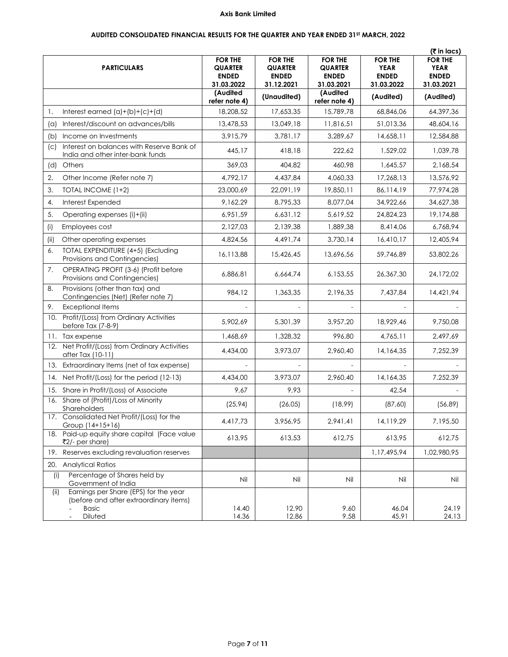## **AUDITED CONSOLIDATED FINANCIAL RESULTS FOR THE QUARTER AND YEAR ENDED 31ST MARCH, 2022**

|                        |                                                                                                            |                                                                |                                                                |                                                                |                                                             | (₹ in lacs)                                                 |
|------------------------|------------------------------------------------------------------------------------------------------------|----------------------------------------------------------------|----------------------------------------------------------------|----------------------------------------------------------------|-------------------------------------------------------------|-------------------------------------------------------------|
|                        | <b>PARTICULARS</b>                                                                                         | <b>FOR THE</b><br><b>QUARTER</b><br><b>ENDED</b><br>31.03.2022 | <b>FOR THE</b><br><b>QUARTER</b><br><b>ENDED</b><br>31.12.2021 | <b>FOR THE</b><br><b>QUARTER</b><br><b>ENDED</b><br>31.03.2021 | <b>FOR THE</b><br><b>YEAR</b><br><b>ENDED</b><br>31.03.2022 | <b>FOR THE</b><br><b>YEAR</b><br><b>ENDED</b><br>31.03.2021 |
|                        |                                                                                                            | (Audited<br>refer note 4)                                      | (Unaudited)                                                    | (Audited<br>refer note 4)                                      | (Audited)                                                   | (Audited)                                                   |
| 1.                     | Interest earned $(a)+(b)+(c)+(d)$                                                                          | 18,208,52                                                      | 17,653,35                                                      | 15,789,78                                                      | 68,846,06                                                   | 64,397,36                                                   |
| $(\alpha)$             | Interest/discount on advances/bills                                                                        | 13,478,53                                                      | 13,049,18                                                      | 11,816,51                                                      | 51,013,36                                                   | 48,604,16                                                   |
| (b)                    | Income on Investments                                                                                      | 3,915,79                                                       | 3,781,17                                                       | 3,289,67                                                       | 14,658,11                                                   | 12,584,88                                                   |
| $\left( \circ \right)$ | Interest on balances with Reserve Bank of<br>India and other inter-bank funds                              | 445,17                                                         | 418,18                                                         | 222,62                                                         | 1,529,02                                                    | 1,039,78                                                    |
| (d)                    | Others                                                                                                     | 369,03                                                         | 404,82                                                         | 460,98                                                         | 1,645,57                                                    | 2,168,54                                                    |
| 2.                     | Other Income (Refer note 7)                                                                                | 4,792,17                                                       | 4,437,84                                                       | 4,060,33                                                       | 17,268,13                                                   | 13,576,92                                                   |
| 3.                     | TOTAL INCOME (1+2)                                                                                         | 23,000,69                                                      | 22,091,19                                                      | 19,850,11                                                      | 86,114,19                                                   | 77,974,28                                                   |
| 4.                     | Interest Expended                                                                                          | 9,162,29                                                       | 8,795,33                                                       | 8,077,04                                                       | 34,922,66                                                   | 34,627,38                                                   |
| 5.                     | Operating expenses (i)+(ii)                                                                                | 6,951,59                                                       | 6,631,12                                                       | 5,619,52                                                       | 24,824,23                                                   | 19,174,88                                                   |
| (i)                    | Employees cost                                                                                             | 2,127,03                                                       | 2,139,38                                                       | 1,889,38                                                       | 8,414,06                                                    | 6,768,94                                                    |
| (ii)                   | Other operating expenses                                                                                   | 4,824,56                                                       | 4,491,74                                                       | 3,730,14                                                       | 16,410,17                                                   | 12,405,94                                                   |
| 6.                     | TOTAL EXPENDITURE (4+5) (Excluding<br>Provisions and Contingencies)                                        | 16,113,88                                                      | 15,426,45                                                      | 13,696,56                                                      | 59,746,89                                                   | 53,802,26                                                   |
| 7.                     | OPERATING PROFIT (3-6) (Profit before<br>Provisions and Contingencies)                                     | 6,886,81                                                       | 6,664,74                                                       | 6,153,55                                                       | 26,367,30                                                   | 24,172,02                                                   |
| 8.                     | Provisions (other than tax) and<br>Contingencies (Net) (Refer note 7)                                      | 984,12                                                         | 1,363,35                                                       | 2,196,35                                                       | 7,437,84                                                    | 14,421,94                                                   |
| 9.                     | <b>Exceptional Items</b>                                                                                   |                                                                |                                                                |                                                                |                                                             |                                                             |
|                        | 10. Profit/(Loss) from Ordinary Activities<br>before Tax (7-8-9)                                           | 5,902,69                                                       | 5,301,39                                                       | 3,957,20                                                       | 18,929,46                                                   | 9,750,08                                                    |
|                        | 11. Tax expense                                                                                            | 1,468,69                                                       | 1,328,32                                                       | 996,80                                                         | 4,765,11                                                    | 2,497,69                                                    |
|                        | 12. Net Profit/(Loss) from Ordinary Activities<br>after Tax (10-11)                                        | 4,434,00                                                       | 3,973,07                                                       | 2,960,40                                                       | 14,164,35                                                   | 7,252,39                                                    |
|                        | 13. Extraordinary Items (net of tax expense)                                                               |                                                                |                                                                |                                                                |                                                             |                                                             |
|                        | 14. Net Profit/(Loss) for the period (12-13)                                                               | 4,434,00                                                       | 3,973,07                                                       | 2,960,40                                                       | 14,164,35                                                   | 7,252,39                                                    |
|                        | 15. Share in Profit/(Loss) of Associate                                                                    | 9,67                                                           | 9,93                                                           |                                                                | 42,54                                                       |                                                             |
|                        | 16. Share of (Profit)/Loss of Minority<br>Shareholders                                                     | (25, 94)                                                       | (26, 05)                                                       | (18,99)                                                        | (87, 60)                                                    | (56, 89)                                                    |
| 17.                    | Consolidated Net Profit/(Loss) for the<br>Group (14+15+16)                                                 | 4,417,73                                                       | 3,956,95                                                       | 2,941,41                                                       | 14,119,29                                                   | 7,195,50                                                    |
|                        | 18. Paid-up equity share capital (Face value<br>₹2/- per share)                                            | 613,95                                                         | 613,53                                                         | 612,75                                                         | 613,95                                                      | 612,75                                                      |
|                        | 19. Reserves excluding revaluation reserves                                                                |                                                                |                                                                |                                                                | 1,17,495,94                                                 | 1,02,980,95                                                 |
|                        | 20. Analytical Ratios                                                                                      |                                                                |                                                                |                                                                |                                                             |                                                             |
| (i)                    | Percentage of Shares held by<br>Government of India                                                        | Nil                                                            | Nil                                                            | Nil                                                            | Nil                                                         | Nil                                                         |
| (ii)                   | Earnings per Share (EPS) for the year<br>(before and after extraordinary items)<br><b>Basic</b><br>Diluted | 14.40<br>14.36                                                 | 12.90<br>12.86                                                 | 9.60<br>9.58                                                   | 46.04<br>45.91                                              | 24.19<br>24.13                                              |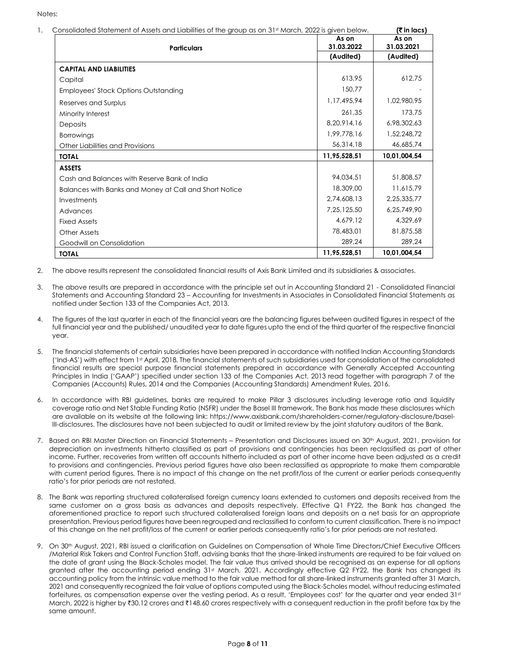Notes:

| <b>Particulars</b>                                     | As on<br>31.03.2022 | As on<br>31.03.2021 |
|--------------------------------------------------------|---------------------|---------------------|
|                                                        | (Audited)           | (Audited)           |
| <b>CAPITAL AND LIABILITIES</b>                         |                     |                     |
| Capital                                                | 613,95              | 612.75              |
| <b>Employees' Stock Options Outstanding</b>            | 150,77              |                     |
| Reserves and Surplus                                   | 1.17.495.94         | 1,02,980,95         |
| Minority Interest                                      | 261,35              | 173,75              |
| <b>Deposits</b>                                        | 8,20,914,16         | 6,98,302,63         |
| <b>Borrowings</b>                                      | 1.99.778.16         | 1,52,248,72         |
| Other Liabilities and Provisions                       | 56,314,18           | 46,685,74           |
| <b>TOTAL</b>                                           | 11,95,528,51        | 10,01,004,54        |
| <b>ASSETS</b>                                          |                     |                     |
| Cash and Balances with Reserve Bank of India           | 94.034.51           | 51,808,57           |
| Balances with Banks and Money at Call and Short Notice | 18,309,00           | 11,615,79           |
| Investments                                            | 2.74.608.13         | 2,25,335,77         |
| Advances                                               | 7,25,125,50         | 6,25,749,90         |
| <b>Fixed Assets</b>                                    | 4,679,12            | 4,329,69            |
| Other Assets                                           | 78,483,01           | 81,875,58           |
| Goodwill on Consolidation                              | 289.24              | 289.24              |
| <b>TOTAL</b>                                           | 11,95,528,51        | 10,01,004,54        |

2. The above results represent the consolidated financial results of Axis Bank Limited and its subsidiaries & associates.

- 3. The above results are prepared in accordance with the principle set out in Accounting Standard 21 Consolidated Financial Statements and Accounting Standard 23 – Accounting for Investments in Associates in Consolidated Financial Statements as notified under Section 133 of the Companies Act, 2013.
- 4. The figures of the last quarter in each of the financial years are the balancing figures between audited figures in respect of the full financial year and the published/ unaudited year to date figures upto the end of the third quarter of the respective financial year.
- 5. The financial statements of certain subsidiaries have been prepared in accordance with notified Indian Accounting Standards ('Ind-AS') with effect from 1st April, 2018. The financial statements of such subsidiaries used for consolidation of the consolidated financial results are special purpose financial statements prepared in accordance with Generally Accepted Accounting Principles in India ('GAAP') specified under section 133 of the Companies Act, 2013 read together with paragraph 7 of the Companies (Accounts) Rules, 2014 and the Companies (Accounting Standards) Amendment Rules, 2016.
- 6. In accordance with RBI guidelines, banks are required to make Pillar 3 disclosures including leverage ratio and liquidity coverage ratio and Net Stable Funding Ratio (NSFR) under the Basel III framework. The Bank has made these disclosures which are available on its website at the following link: https://www.axisbank.com/shareholders-corner/regulatory-disclosure/basel-III-disclosures. The disclosures have not been subjected to audit or limited review by the joint statutory auditors of the Bank.
- 7. Based on RBI Master Direction on Financial Statements Presentation and Disclosures issued on 30th August, 2021, provision for depreciation on investments hitherto classified as part of provisions and contingencies has been reclassified as part of other income. Further, recoveries from written off accounts hitherto included as part of other income have been adjusted as a credit to provisions and contingencies. Previous period figures have also been reclassified as appropriate to make them comparable with current period figures. There is no impact of this change on the net profit/loss of the current or earlier periods consequently ratio's for prior periods are not restated.
- 8. The Bank was reporting structured collateralised foreign currency loans extended to customers and deposits received from the same customer on a gross basis as advances and deposits respectively. Effective Q1 FY22, the Bank has changed the aforementioned practice to report such structured collateralised foreign loans and deposits on a net basis for an appropriate presentation. Previous period figures have been regrouped and reclassified to conform to current classification. There is no impact of this change on the net profit/loss of the current or earlier periods consequently ratio's for prior periods are not restated.
- 9. On 30<sup>th</sup> August, 2021, RBI issued a clarification on Guidelines on Compensation of Whole Time Directors/Chief Executive Officers /Material Risk Takers and Control Function Staff, advising banks that the share-linked instruments are required to be fair valued on the date of grant using the Black-Scholes model. The fair value thus arrived should be recognised as an expense for all options granted after the accounting period ending 31st March, 2021. Accordingly effective Q2 FY22, the Bank has changed its accounting policy from the intrinsic value method to the fair value method for all share-linked instruments granted after 31 March, 2021 and consequently recognized the fair value of options computed using the Black-Scholes model, without reducing estimated forfeitures, as compensation expense over the vesting period. As a result, 'Employees cost' for the quarter and year ended 31st March, 2022 is higher by ₹30.12 crores and ₹148.60 crores respectively with a consequent reduction in the profit before tax by the same amount.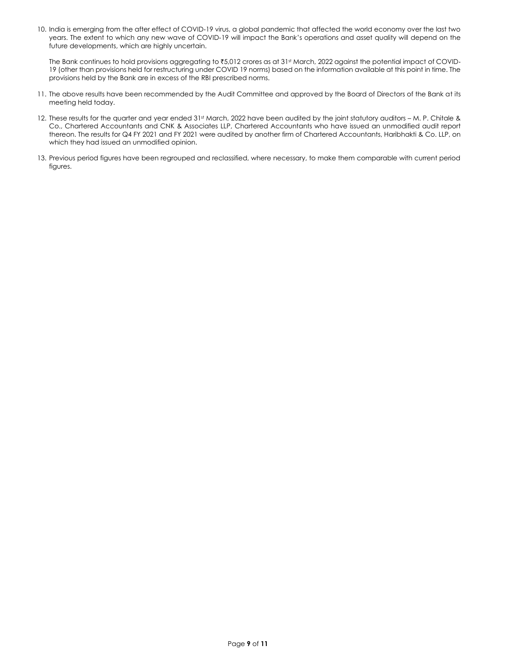10. India is emerging from the after effect of COVID-19 virus, a global pandemic that affected the world economy over the last two years. The extent to which any new wave of COVID‐19 will impact the Bank's operations and asset quality will depend on the future developments, which are highly uncertain.

The Bank continues to hold provisions aggregating to ₹5,012 crores as at 31<sup>st</sup> March, 2022 against the potential impact of COVID-19 (other than provisions held for restructuring under COVID 19 norms) based on the information available at this point in time. The provisions held by the Bank are in excess of the RBI prescribed norms.

- 11. The above results have been recommended by the Audit Committee and approved by the Board of Directors of the Bank at its meeting held today.
- 12. These results for the quarter and year ended 31st March, 2022 have been audited by the joint statutory auditors M. P. Chitale & Co., Chartered Accountants and CNK & Associates LLP, Chartered Accountants who have issued an unmodified audit report thereon. The results for Q4 FY 2021 and FY 2021 were audited by another firm of Chartered Accountants, Haribhakti & Co. LLP, on which they had issued an unmodified opinion.
- 13. Previous period figures have been regrouped and reclassified, where necessary, to make them comparable with current period figures.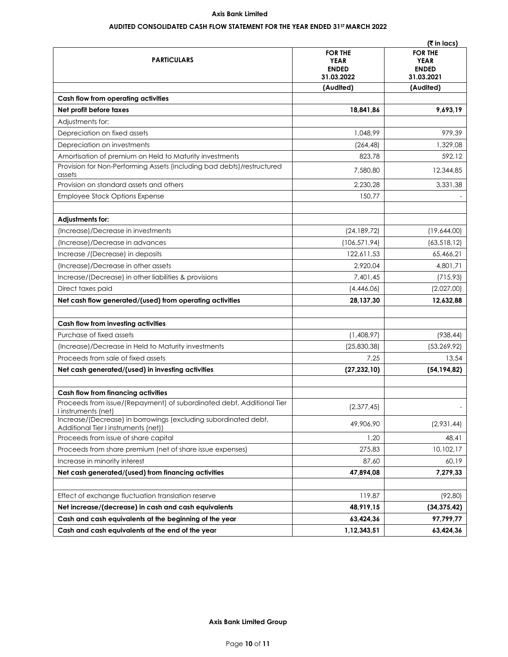# **AUDITED CONSOLIDATED CASH FLOW STATEMENT FOR THE YEAR ENDED 31ST MARCH 2022**

|                                                                                                         |                                                             | (₹ in lacs)                                                 |
|---------------------------------------------------------------------------------------------------------|-------------------------------------------------------------|-------------------------------------------------------------|
| <b>PARTICULARS</b>                                                                                      | <b>FOR THE</b><br><b>YEAR</b><br><b>ENDED</b><br>31.03.2022 | <b>FOR THE</b><br><b>YEAR</b><br><b>ENDED</b><br>31.03.2021 |
|                                                                                                         | (Audited)                                                   | (Audited)                                                   |
| Cash flow from operating activities                                                                     |                                                             |                                                             |
| Net profit before taxes                                                                                 | 18,841,86                                                   | 9,693,19                                                    |
| Adjustments for:                                                                                        |                                                             |                                                             |
| Depreciation on fixed assets                                                                            | 1,048,99                                                    | 979,39                                                      |
| Depreciation on investments                                                                             | (264, 48)                                                   | 1,329,08                                                    |
| Amortisation of premium on Held to Maturity investments                                                 | 823,78                                                      | 592,12                                                      |
| Provision for Non-Performing Assets (including bad debts)/restructured<br>assets                        | 7,580,80                                                    | 12,344,85                                                   |
| Provision on standard assets and others                                                                 | 2,230,28                                                    | 3,331,38                                                    |
| <b>Employee Stock Options Expense</b>                                                                   | 150,77                                                      |                                                             |
| Adjustments for:                                                                                        |                                                             |                                                             |
| (Increase)/Decrease in investments                                                                      | (24, 189, 72)                                               | (19,644,00)                                                 |
| (Increase)/Decrease in advances                                                                         | (106, 571, 94)                                              | (63, 518, 12)                                               |
| Increase /(Decrease) in deposits                                                                        | 122,611,53                                                  | 65,466,21                                                   |
| (Increase)/Decrease in other assets                                                                     | 2,920,04                                                    | 4,801,71                                                    |
| Increase/(Decrease) in other liabilities & provisions                                                   | 7,401,45                                                    | (715, 93)                                                   |
| Direct taxes paid                                                                                       | (4,446,06)                                                  | (2,027,00)                                                  |
| Net cash flow generated/(used) from operating activities                                                | 28,137,30                                                   | 12,632,88                                                   |
| Cash flow from investing activities                                                                     |                                                             |                                                             |
| Purchase of fixed assets                                                                                | (1,408,97)                                                  | (938, 44)                                                   |
| (Increase)/Decrease in Held to Maturity investments                                                     | (25,830,38)                                                 | (53, 269, 92)                                               |
| Proceeds from sale of fixed assets                                                                      | 7,25                                                        | 13,54                                                       |
| Net cash generated/(used) in investing activities                                                       | (27, 232, 10)                                               | (54, 194, 82)                                               |
| Cash flow from financing activities                                                                     |                                                             |                                                             |
| Proceeds from issue/(Repayment) of subordinated debt, Additional Tier<br>l instruments (net)            | (2,377,45)                                                  |                                                             |
| Increase/(Decrease) in borrowings (excluding subordinated debt,<br>Additional Tier I instruments (net)) | 49,906,90                                                   | (2,931,44)                                                  |
| Proceeds from issue of share capital                                                                    | 1,20                                                        | 48,41                                                       |
| Proceeds from share premium (net of share issue expenses)                                               | 275,83                                                      | 10,102,17                                                   |
| Increase in minority interest                                                                           | 87,60                                                       | 60,19                                                       |
| Net cash generated/(used) from financing activities                                                     | 47,894,08                                                   | 7,279,33                                                    |
| Effect of exchange fluctuation translation reserve                                                      | 119,87                                                      | (92,80)                                                     |
| Net increase/(decrease) in cash and cash equivalents                                                    | 48,919,15                                                   | (34, 375, 42)                                               |
| Cash and cash equivalents at the beginning of the year                                                  | 63,424,36                                                   | 97,799,77                                                   |
| Cash and cash equivalents at the end of the year                                                        | 1,12,343,51                                                 | 63,424,36                                                   |

**Axis Bank Limited Group**